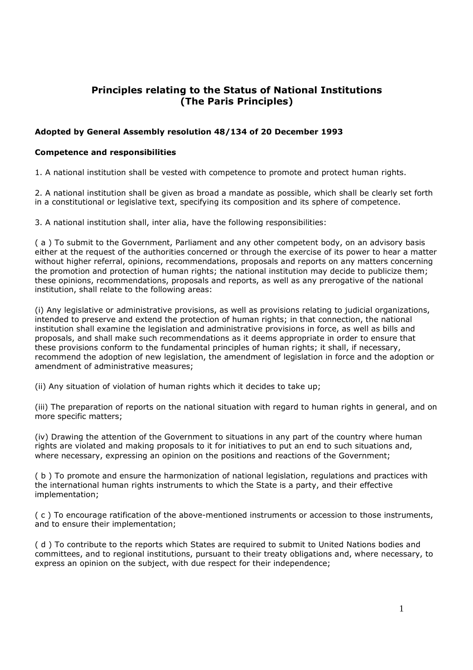# Principles relating to the Status of National Institutions (The Paris Principles)

## Adopted by General Assembly resolution 48/134 of 20 December 1993

### Competence and responsibilities

1. A national institution shall be vested with competence to promote and protect human rights.

2. A national institution shall be given as broad a mandate as possible, which shall be clearly set forth in a constitutional or legislative text, specifying its composition and its sphere of competence.

3. A national institution shall, inter alia, have the following responsibilities:

( a ) To submit to the Government, Parliament and any other competent body, on an advisory basis either at the request of the authorities concerned or through the exercise of its power to hear a matter without higher referral, opinions, recommendations, proposals and reports on any matters concerning the promotion and protection of human rights; the national institution may decide to publicize them; these opinions, recommendations, proposals and reports, as well as any prerogative of the national institution, shall relate to the following areas:

(i) Any legislative or administrative provisions, as well as provisions relating to judicial organizations, intended to preserve and extend the protection of human rights; in that connection, the national institution shall examine the legislation and administrative provisions in force, as well as bills and proposals, and shall make such recommendations as it deems appropriate in order to ensure that these provisions conform to the fundamental principles of human rights; it shall, if necessary, recommend the adoption of new legislation, the amendment of legislation in force and the adoption or amendment of administrative measures;

(ii) Any situation of violation of human rights which it decides to take up;

(iii) The preparation of reports on the national situation with regard to human rights in general, and on more specific matters;

(iv) Drawing the attention of the Government to situations in any part of the country where human rights are violated and making proposals to it for initiatives to put an end to such situations and, where necessary, expressing an opinion on the positions and reactions of the Government;

( b ) To promote and ensure the harmonization of national legislation, regulations and practices with the international human rights instruments to which the State is a party, and their effective implementation;

( c ) To encourage ratification of the above-mentioned instruments or accession to those instruments, and to ensure their implementation;

( d ) To contribute to the reports which States are required to submit to United Nations bodies and committees, and to regional institutions, pursuant to their treaty obligations and, where necessary, to express an opinion on the subject, with due respect for their independence;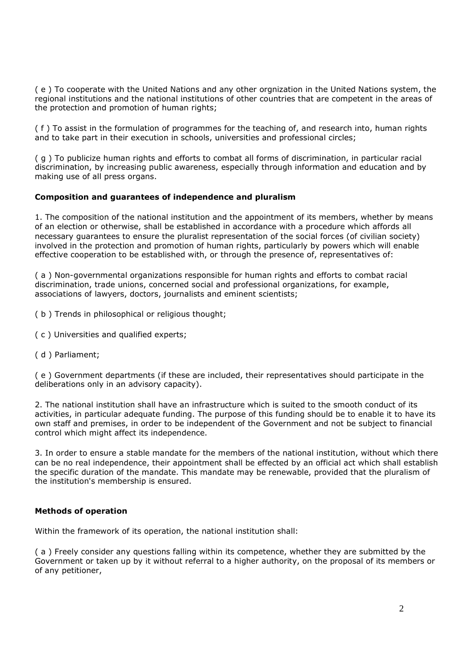( e ) To cooperate with the United Nations and any other orgnization in the United Nations system, the regional institutions and the national institutions of other countries that are competent in the areas of the protection and promotion of human rights;

( f ) To assist in the formulation of programmes for the teaching of, and research into, human rights and to take part in their execution in schools, universities and professional circles;

( g ) To publicize human rights and efforts to combat all forms of discrimination, in particular racial discrimination, by increasing public awareness, especially through information and education and by making use of all press organs.

### Composition and guarantees of independence and pluralism

1. The composition of the national institution and the appointment of its members, whether by means of an election or otherwise, shall be established in accordance with a procedure which affords all necessary guarantees to ensure the pluralist representation of the social forces (of civilian society) involved in the protection and promotion of human rights, particularly by powers which will enable effective cooperation to be established with, or through the presence of, representatives of:

( a ) Non-governmental organizations responsible for human rights and efforts to combat racial discrimination, trade unions, concerned social and professional organizations, for example, associations of lawyers, doctors, journalists and eminent scientists;

- ( b ) Trends in philosophical or religious thought;
- ( c ) Universities and qualified experts;
- ( d ) Parliament;

( e ) Government departments (if these are included, their representatives should participate in the deliberations only in an advisory capacity).

2. The national institution shall have an infrastructure which is suited to the smooth conduct of its activities, in particular adequate funding. The purpose of this funding should be to enable it to have its own staff and premises, in order to be independent of the Government and not be subject to financial control which might affect its independence.

3. In order to ensure a stable mandate for the members of the national institution, without which there can be no real independence, their appointment shall be effected by an official act which shall establish the specific duration of the mandate. This mandate may be renewable, provided that the pluralism of the institution's membership is ensured.

#### Methods of operation

Within the framework of its operation, the national institution shall:

( a ) Freely consider any questions falling within its competence, whether they are submitted by the Government or taken up by it without referral to a higher authority, on the proposal of its members or of any petitioner,